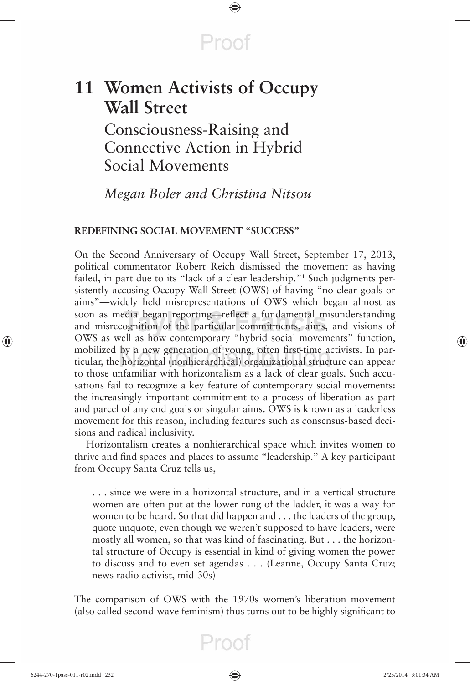## Proof

◈

## **11 Women Activists of Occupy Wall Street**

Consciousness-Raising and Connective Action in Hybrid Social Movements

*Megan Boler and Christina Nitsou* 

## **REDEFINING SOCIAL MOVEMENT "SUCCESS"**

On the Second Anniversary of Occupy Wall Street, September 17, 2013, political commentator Robert Reich dismissed the movement as having failed, in part due to its "lack of a clear leadership."<sup>1</sup> Such judgments persistently accusing Occupy Wall Street (OWS) of having "no clear goals or aims"—widely held misrepresentations of OWS which began almost as soon as media began reporting—reflect a fundamental misunderstanding and misrecognition of the particular commitments, aims, and visions of OWS as well as how contemporary "hybrid social movements" function, mobilized by a new generation of young, often first-time activists. In particular, the horizontal (nonhierarchical) organizational structure can appear to those unfamiliar with horizontalism as a lack of clear goals. Such accusations fail to recognize a key feature of contemporary social movements: the increasingly important commitment to a process of liberation as part and parcel of any end goals or singular aims. OWS is known as a leaderless movement for this reason, including features such as consensus-based decisions and radical inclusivity.

Horizontalism creates a nonhierarchical space which invites women to thrive and find spaces and places to assume "leadership." A key participant from Occupy Santa Cruz tells us,

. . . since we were in a horizontal structure, and in a vertical structure women are often put at the lower rung of the ladder, it was a way for women to be heard. So that did happen and . . . the leaders of the group, quote unquote, even though we weren't supposed to have leaders, were mostly all women, so that was kind of fascinating. But . . . the horizontal structure of Occupy is essential in kind of giving women the power to discuss and to even set agendas . . . (Leanne, Occupy Santa Cruz; news radio activist, mid-30s)

The comparison of OWS with the 1970s women's liberation movement (also called second-wave feminism) thus turns out to be highly significant to

♠

♠

Proof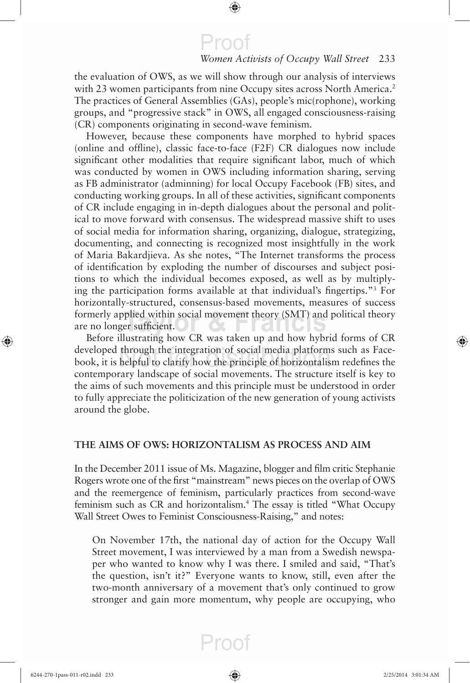⊕

### *Women Activists of Occupy Wall Street* 233

the evaluation of OWS, as we will show through our analysis of interviews with 23 women participants from nine Occupy sites across North America.<sup>2</sup> The practices of General Assemblies (GAs), people's mic(rophone), working groups, and "progressive stack" in OWS, all engaged consciousness-raising (CR) components originating in second-wave feminism.

However, because these components have morphed to hybrid spaces (online and offline), classic face-to-face (F2F) CR dialogues now include significant other modalities that require significant labor, much of which was conducted by women in OWS including information sharing, serving as FB administrator (adminning) for local Occupy Facebook (FB) sites, and conducting working groups. In all of these activities, significant components of CR include engaging in in-depth dialogues about the personal and political to move forward with consensus. The widespread massive shift to uses of social media for information sharing, organizing, dialogue, strategizing, documenting, and connecting is recognized most insightfully in the work of Maria Bakardjieva. As she notes, "The Internet transforms the process of identification by exploding the number of discourses and subject positions to which the individual becomes exposed, as well as by multiplying the participation forms available at that individual's fingertips."<sup>3</sup> For horizontally-structured, consensus-based movements, measures of success formerly applied within social movement theory (SMT) and political theory are no longer sufficient.  $\alpha$ 1 C.I

Before illustrating how CR was taken up and how hybrid forms of CR developed through the integration of social media platforms such as Facebook, it is helpful to clarify how the principle of horizontalism redefines the contemporary landscape of social movements. The structure itself is key to the aims of such movements and this principle must be understood in order to fully appreciate the politicization of the new generation of young activists around the globe.

## **THE AIMS OF OWS: HORIZONTALISM AS PROCESS AND AIM**

In the December 2011 issue of Ms. Magazine, blogger and film critic Stephanie Rogers wrote one of the first "mainstream" news pieces on the overlap of OWS and the reemergence of feminism, particularly practices from second-wave feminism such as CR and horizontalism. 4 The essay is titled "What Occupy Wall Street Owes to Feminist Consciousness-Raising," and notes:

On November 17th, the national day of action for the Occupy Wall Street movement, I was interviewed by a man from a Swedish newspaper who wanted to know why I was there. I smiled and said, "That's the question, isn't it?" Everyone wants to know, still, even after the two-month anniversary of a movement that's only continued to grow stronger and gain more momentum, why people are occupying, who

⊕

♠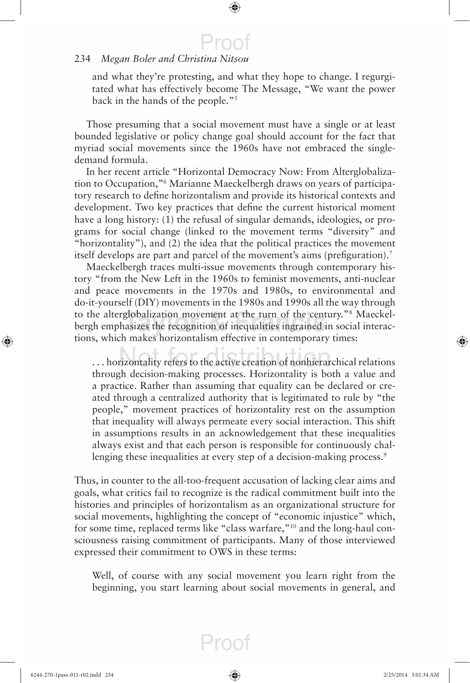## 234 *Megan Boler and Christina Nitsou*

and what they're protesting, and what they hope to change. I regurgitated what has effectively become The Message, "We want the power back in the hands of the people."<sup>5</sup>

Those presuming that a social movement must have a single or at least bounded legislative or policy change goal should account for the fact that myriad social movements since the 1960s have not embraced the singledemand formula.

In her recent article "Horizontal Democracy Now: From Alterglobalization to Occupation,"<sup>6</sup> Marianne Maeckelbergh draws on years of participatory research to define horizontalism and provide its historical contexts and development. Two key practices that define the current historical moment have a long history: (1) the refusal of singular demands, ideologies, or programs for social change (linked to the movement terms "diversity" and "horizontality"), and (2) the idea that the political practices the movement itself develops are part and parcel of the movement's aims (prefiguration).<sup>7</sup>

Maeckelbergh traces multi-issue movements through contemporary history "from the New Left in the 1960s to feminist movements, anti-nuclear and peace movements in the 1970s and 1980s, to environmental and do-it-yourself (DIY) movements in the 1980s and 1990s all the way through to the alterglobalization movement at the turn of the century."<sup>8</sup> Maeckelbergh emphasizes the recognition of inequalities ingrained in social interactions, which makes horizontalism effective in contemporary times:

. . . horizontality refers to the active creation of nonhierarchical relations through decision-making processes. Horizontality is both a value and a practice. Rather than assuming that equality can be declared or created through a centralized authority that is legitimated to rule by "the people," movement practices of horizontality rest on the assumption that inequality will always permeate every social interaction. This shift in assumptions results in an acknowledgement that these inequalities always exist and that each person is responsible for continuously challenging these inequalities at every step of a decision-making process.<sup>9</sup>

Thus, in counter to the all-too-frequent accusation of lacking clear aims and goals, what critics fail to recognize is the radical commitment built into the histories and principles of horizontalism as an organizational structure for social movements, highlighting the concept of "economic injustice" which, for some time, replaced terms like "class warfare,"<sup>10</sup> and the long-haul consciousness raising commitment of participants. Many of those interviewed expressed their commitment to OWS in these terms:

Well, of course with any social movement you learn right from the beginning, you start learning about social movements in general, and

⊕

♠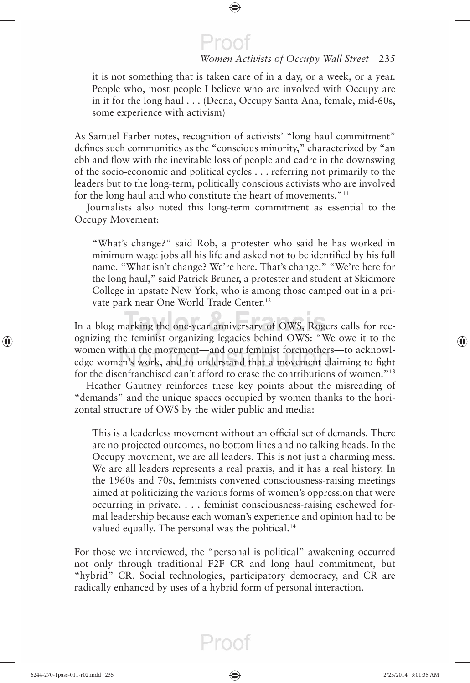## Proot *Women Activists of Occupy Wall Street* 235

it is not something that is taken care of in a day, or a week, or a year. People who, most people I believe who are involved with Occupy are in it for the long haul . . . (Deena, Occupy Santa Ana, female, mid-60s, some experience with activism)

⊕

As Samuel Farber notes, recognition of activists' "long haul commitment" defines such communities as the "conscious minority," characterized by "an ebb and flow with the inevitable loss of people and cadre in the downswing of the socio-economic and political cycles . . . referring not primarily to the leaders but to the long-term, politically conscious activists who are involved for the long haul and who constitute the heart of movements."<sup>11</sup>

Journalists also noted this long-term commitment as essential to the Occupy Movement:

"What's change?" said Rob, a protester who said he has worked in minimum wage jobs all his life and asked not to be identified by his full name. "What isn't change? We're here. That's change." "We're here for the long haul," said Patrick Bruner, a protester and student at Skidmore College in upstate New York, who is among those camped out in a private park near One World Trade Center. 12

In a blog marking the one-year anniversary of OWS, Rogers calls for recognizing the feminist organizing legacies behind OWS: "We owe it to the women within the movement—and our feminist foremothers—to acknowledge women's work, and to understand that a movement claiming to fight for the disenfranchised can't afford to erase the contributions of women." 13

Heather Gautney reinforces these key points about the misreading of "demands" and the unique spaces occupied by women thanks to the horizontal structure of OWS by the wider public and media:

This is a leaderless movement without an official set of demands. There are no projected outcomes, no bottom lines and no talking heads. In the Occupy movement, we are all leaders. This is not just a charming mess. We are all leaders represents a real praxis, and it has a real history. In the 1960s and 70s, feminists convened consciousness-raising meetings aimed at politicizing the various forms of women's oppression that were occurring in private. . . . feminist consciousness-raising eschewed formal leadership because each woman's experience and opinion had to be valued equally. The personal was the political. 14

For those we interviewed, the "personal is political" awakening occurred not only through traditional F2F CR and long haul commitment, but "hybrid" CR. Social technologies, participatory democracy, and CR are radically enhanced by uses of a hybrid form of personal interaction.

⊕

♠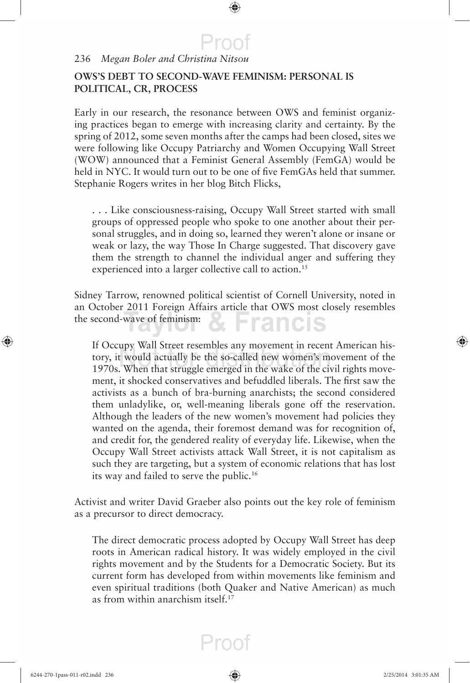## 236 *Megan Boler and Christina Nitsou*

## **OWS'S DEBT TO SECOND-WAVE FEMINISM: PERSONAL IS POLITICAL, CR, PROCESS**

Early in our research, the resonance between OWS and feminist organizing practices began to emerge with increasing clarity and certainty. By the spring of 2012, some seven months after the camps had been closed, sites we were following like Occupy Patriarchy and Women Occupying Wall Street (WOW) announced that a Feminist General Assembly (FemGA) would be held in NYC. It would turn out to be one of five FemGAs held that summer. Stephanie Rogers writes in her blog Bitch Flicks,

. . . Like consciousness-raising, Occupy Wall Street started with small groups of oppressed people who spoke to one another about their personal struggles, and in doing so, learned they weren't alone or insane or weak or lazy, the way Those In Charge suggested. That discovery gave them the strength to channel the individual anger and suffering they experienced into a larger collective call to action.<sup>15</sup>

Sidney Tarrow, renowned political scientist of Cornell University, noted in an October 2011 Foreign Affairs article that OWS most closely resembles the second-wave of feminism:

If Occupy Wall Street resembles any movement in recent American history, it would actually be the so-called new women's movement of the 1970s. When that struggle emerged in the wake of the civil rights movement, it shocked conservatives and befuddled liberals. The first saw the activists as a bunch of bra-burning anarchists; the second considered them unladylike, or, well-meaning liberals gone off the reservation. Although the leaders of the new women's movement had policies they wanted on the agenda, their foremost demand was for recognition of, and credit for, the gendered reality of everyday life. Likewise, when the Occupy Wall Street activists attack Wall Street, it is not capitalism as such they are targeting, but a system of economic relations that has lost its way and failed to serve the public.<sup>16</sup>

Activist and writer David Graeber also points out the key role of feminism as a precursor to direct democracy.

The direct democratic process adopted by Occupy Wall Street has deep roots in American radical history. It was widely employed in the civil rights movement and by the Students for a Democratic Society. But its current form has developed from within movements like feminism and even spiritual traditions (both Quaker and Native American) as much as from within anarchism itself.<sup>17</sup>

⊕

♠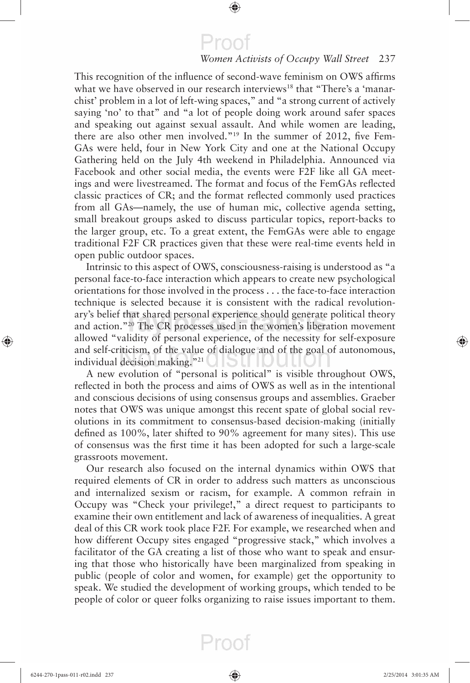⊕

## *Women Activists of Occupy Wall Street* 237

This recognition of the influence of second-wave feminism on OWS affirms what we have observed in our research interviews<sup>18</sup> that "There's a 'manarchist' problem in a lot of left-wing spaces," and "a strong current of actively saying 'no' to that" and "a lot of people doing work around safer spaces and speaking out against sexual assault. And while women are leading, there are also other men involved."<sup>19</sup> In the summer of 2012, five Fem-GAs were held, four in New York City and one at the National Occupy Gathering held on the July 4th weekend in Philadelphia. Announced via Facebook and other social media, the events were F2F like all GA meetings and were livestreamed. The format and focus of the FemGAs reflected classic practices of CR; and the format reflected commonly used practices from all GAs—namely, the use of human mic, collective agenda setting, small breakout groups asked to discuss particular topics, report-backs to the larger group, etc. To a great extent, the FemGAs were able to engage traditional F2F CR practices given that these were real-time events held in open public outdoor spaces.

Intrinsic to this aspect of OWS, consciousness-raising is understood as "a personal face-to-face interaction which appears to create new psychological orientations for those involved in the process . . . the face-to-face interaction technique is selected because it is consistent with the radical revolutionary's belief that shared personal experience should generate political theory and action."<sup>20</sup> The CR processes used in the women's liberation movement allowed "validity of personal experience, of the necessity for self-exposure and self-criticism, of the value of dialogue and of the goal of autonomous, individual decision making. $"^{21}$ II U U L

A new evolution of "personal is political" is visible throughout OWS, reflected in both the process and aims of OWS as well as in the intentional and conscious decisions of using consensus groups and assemblies. Graeber notes that OWS was unique amongst this recent spate of global social revolutions in its commitment to consensus-based decision-making (initially defined as  $100\%$ , later shifted to  $90\%$  agreement for many sites). This use of consensus was the first time it has been adopted for such a large-scale grassroots movement.

Our research also focused on the internal dynamics within OWS that required elements of CR in order to address such matters as unconscious and internalized sexism or racism, for example. A common refrain in Occupy was "Check your privilege!," a direct request to participants to examine their own entitlement and lack of awareness of inequalities. A great deal of this CR work took place F2F. For example, we researched when and how different Occupy sites engaged "progressive stack," which involves a facilitator of the GA creating a list of those who want to speak and ensuring that those who historically have been marginalized from speaking in public (people of color and women, for example) get the opportunity to speak. We studied the development of working groups, which tended to be people of color or queer folks organizing to raise issues important to them.

⊕

♠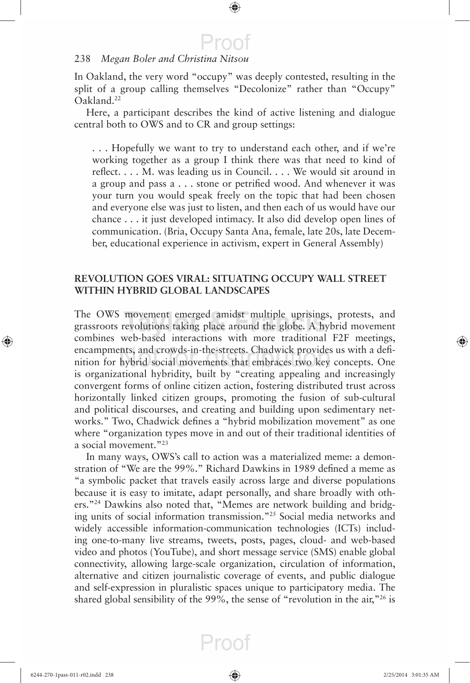## $Pron1$

⊕

## 238 *Megan Boler and Christina Nitsou*

In Oakland, the very word "occupy" was deeply contested, resulting in the split of a group calling themselves "Decolonize" rather than "Occupy" Oakland.<sup>22</sup>

Here, a participant describes the kind of active listening and dialogue central both to OWS and to CR and group settings:

. . . Hopefully we want to try to understand each other, and if we're working together as a group I think there was that need to kind of reflect.  $\dots$  M. was leading us in Council.  $\dots$  We would sit around in a group and pass a . . . stone or petrified wood. And whenever it was your turn you would speak freely on the topic that had been chosen and everyone else was just to listen, and then each of us would have our chance . . . it just developed intimacy. It also did develop open lines of communication. (Bria, Occupy Santa Ana, female, late 20s, late December, educational experience in activism, expert in General Assembly)

## **REVOLUTION GOES VIRAL: SITUATING OCCUPY WALL STREET WITHIN HYBRID GLOBAL LANDSCAPES**

The OWS movement emerged amidst multiple uprisings, protests, and grassroots revolutions taking place around the globe. A hybrid movement combines web-based interactions with more traditional F2F meetings, encampments, and crowds-in-the-streets. Chadwick provides us with a definition for hybrid social movements that embraces two key concepts. One is organizational hybridity, built by "creating appealing and increasingly convergent forms of online citizen action, fostering distributed trust across horizontally linked citizen groups, promoting the fusion of sub-cultural and political discourses, and creating and building upon sedimentary networks." Two, Chadwick defines a "hybrid mobilization movement" as one where "organization types move in and out of their traditional identities of a social movement."<sup>23</sup>

In many ways, OWS's call to action was a materialized meme: a demonstration of "We are the 99%." Richard Dawkins in 1989 defined a meme as "a symbolic packet that travels easily across large and diverse populations because it is easy to imitate, adapt personally, and share broadly with others."<sup>24</sup> Dawkins also noted that, "Memes are network building and bridging units of social information transmission." 25 Social media networks and widely accessible information-communication technologies (ICTs) including one-to-many live streams, tweets, posts, pages, cloud- and web-based video and photos (YouTube), and short message service (SMS) enable global connectivity, allowing large-scale organization, circulation of information, alternative and citizen journalistic coverage of events, and public dialogue and self-expression in pluralistic spaces unique to participatory media. The shared global sensibility of the 99%, the sense of "revolution in the air," $26$  is

⊕

♠

Proof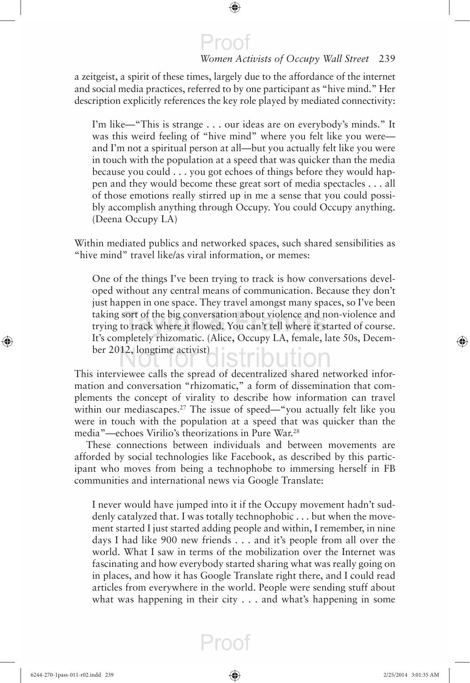### *Women Activists of Occupy Wall Street* 239

a zeitgeist, a spirit of these times, largely due to the affordance of the internet and social media practices, referred to by one participant as "hive mind." Her description explicitly references the key role played by mediated connectivity:

I'm like—"This is strange . . . our ideas are on everybody's minds." It was this weird feeling of "hive mind" where you felt like you were and I'm not a spiritual person at all—but you actually felt like you were in touch with the population at a speed that was quicker than the media because you could . . . you got echoes of things before they would happen and they would become these great sort of media spectacles . . . all of those emotions really stirred up in me a sense that you could possibly accomplish anything through Occupy. You could Occupy anything. (Deena Occupy LA)

Within mediated publics and networked spaces, such shared sensibilities as "hive mind" travel like/as viral information, or memes:

One of the things I've been trying to track is how conversations developed without any central means of communication. Because they don't just happen in one space. They travel amongst many spaces, so I've been taking sort of the big conversation about violence and non-violence and trying to track where it flowed. You can't tell where it started of course. It's completely rhizomatic. (Alice, Occupy LA, female, late 50s, December 2012, longtime activist)

This interviewee calls the spread of decentralized shared networked information and conversation "rhizomatic," a form of dissemination that complements the concept of virality to describe how information can travel within our mediascapes.<sup>27</sup> The issue of speed—"you actually felt like you were in touch with the population at a speed that was quicker than the media"—echoes Virilio's theorizations in Pure War.<sup>28</sup>

These connections between individuals and between movements are afforded by social technologies like Facebook, as described by this participant who moves from being a technophobe to immersing herself in FB communities and international news via Google Translate:

I never would have jumped into it if the Occupy movement hadn't suddenly catalyzed that. I was totally technophobic . . . but when the movement started I just started adding people and within, I remember, in nine days I had like 900 new friends . . . and it's people from all over the world. What I saw in terms of the mobilization over the Internet was fascinating and how everybody started sharing what was really going on in places, and how it has Google Translate right there, and I could read articles from everywhere in the world. People were sending stuff about what was happening in their city . . . and what's happening in some

⊕

♠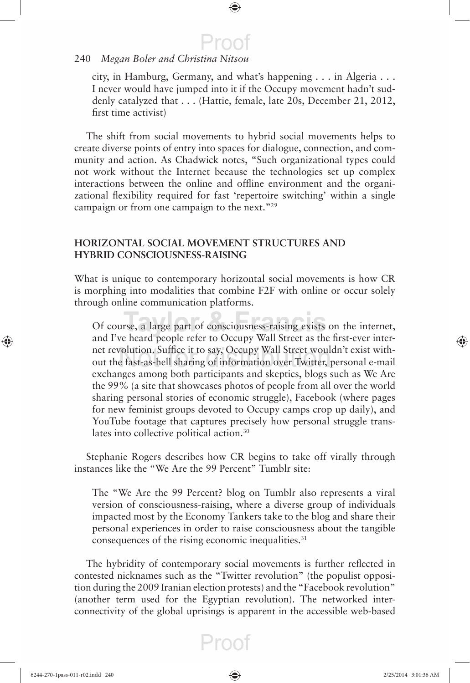## 240 *Megan Boler and Christina Nitsou*

city, in Hamburg, Germany, and what's happening . . . in Algeria . . . I never would have jumped into it if the Occupy movement hadn't suddenly catalyzed that . . . (Hattie, female, late 20s, December 21, 2012, first time activist)

The shift from social movements to hybrid social movements helps to create diverse points of entry into spaces for dialogue, connection, and community and action. As Chadwick notes, "Such organizational types could not work without the Internet because the technologies set up complex interactions between the online and offline environment and the organizational flexibility required for fast 'repertoire switching' within a single campaign or from one campaign to the next."<sup>29</sup>

## **HORIZONTAL SOCIAL MOVEMENT STRUCTURES AND HYBRID CONSCIOUSNESS-RAISING**

What is unique to contemporary horizontal social movements is how CR is morphing into modalities that combine F2F with online or occur solely through online communication platforms.

Of course, a large part of consciousness-raising exists on the internet, and I've heard people refer to Occupy Wall Street as the first-ever internet revolution. Suffice it to say, Occupy Wall Street wouldn't exist without the fast-as-hell sharing of information over Twitter, personal e-mail exchanges among both participants and skeptics, blogs such as We Are the 99% (a site that showcases photos of people from all over the world sharing personal stories of economic struggle), Facebook (where pages for new feminist groups devoted to Occupy camps crop up daily), and YouTube footage that captures precisely how personal struggle translates into collective political action.<sup>30</sup>

Stephanie Rogers describes how CR begins to take off virally through instances like the "We Are the 99 Percent" Tumblr site:

The "We Are the 99 Percent? blog on Tumblr also represents a viral version of consciousness-raising, where a diverse group of individuals impacted most by the Economy Tankers take to the blog and share their personal experiences in order to raise consciousness about the tangible consequences of the rising economic inequalities. 31

The hybridity of contemporary social movements is further reflected in contested nicknames such as the "Twitter revolution" (the populist opposition during the 2009 Iranian election protests) and the "Facebook revolution" (another term used for the Egyptian revolution). The networked interconnectivity of the global uprisings is apparent in the accessible web-based

⊕

♠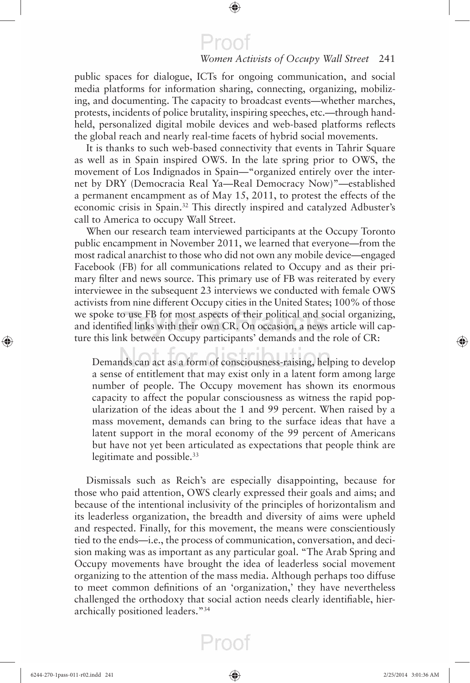⊕

### *Women Activists of Occupy Wall Street* 241

public spaces for dialogue, ICTs for ongoing communication, and social media platforms for information sharing, connecting, organizing, mobilizing, and documenting. The capacity to broadcast events—whether marches, protests, incidents of police brutality, inspiring speeches, etc.—through handheld, personalized digital mobile devices and web-based platforms reflects the global reach and nearly real-time facets of hybrid social movements.

It is thanks to such web-based connectivity that events in Tahrir Square as well as in Spain inspired OWS. In the late spring prior to OWS, the movement of Los Indignados in Spain—"organized entirely over the internet by DRY (Democracia Real Ya—Real Democracy Now)"—established a permanent encampment as of May 15, 2011, to protest the effects of the economic crisis in Spain. 32 This directly inspired and catalyzed Adbuster's call to America to occupy Wall Street.

When our research team interviewed participants at the Occupy Toronto public encampment in November 2011, we learned that everyone—from the most radical anarchist to those who did not own any mobile device—engaged Facebook (FB) for all communications related to Occupy and as their primary filter and news source. This primary use of FB was reiterated by every interviewee in the subsequent 23 interviews we conducted with female OWS activists from nine different Occupy cities in the United States; 100% of those we spoke to use FB for most aspects of their political and social organizing, and identified links with their own CR. On occasion, a news article will capture this link between Occupy participants' demands and the role of CR:

Demands can act as a form of consciousness-raising, helping to develop a sense of entitlement that may exist only in a latent form among large number of people. The Occupy movement has shown its enormous capacity to affect the popular consciousness as witness the rapid popularization of the ideas about the 1 and 99 percent. When raised by a mass movement, demands can bring to the surface ideas that have a latent support in the moral economy of the 99 percent of Americans but have not yet been articulated as expectations that people think are legitimate and possible.<sup>33</sup>

Dismissals such as Reich's are especially disappointing, because for those who paid attention, OWS clearly expressed their goals and aims; and because of the intentional inclusivity of the principles of horizontalism and its leaderless organization, the breadth and diversity of aims were upheld and respected. Finally, for this movement, the means were conscientiously tied to the ends—i.e., the process of communication, conversation, and decision making was as important as any particular goal. "The Arab Spring and Occupy movements have brought the idea of leaderless social movement organizing to the attention of the mass media. Although perhaps too diffuse to meet common definitions of an 'organization,' they have nevertheless challenged the orthodoxy that social action needs clearly identifiable, hierarchically positioned leaders." 34

⊕

♠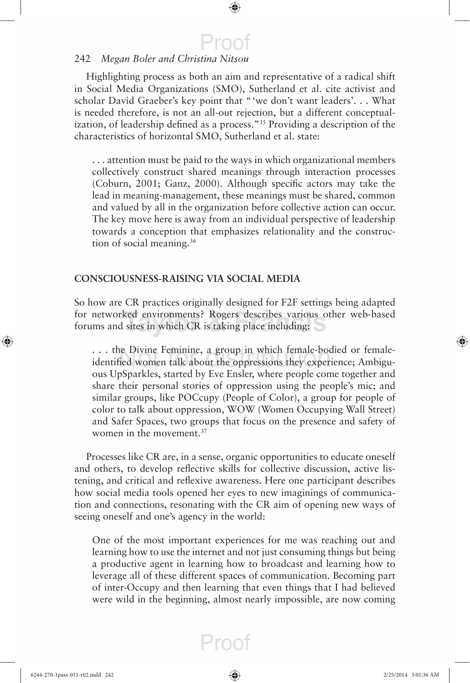⊕

## 242 *Megan Boler and Christina Nitsou*

Highlighting process as both an aim and representative of a radical shift in Social Media Organizations (SMO), Sutherland et al. cite activist and scholar David Graeber's key point that " 'we don't want leaders'. . . What is needed therefore, is not an all-out rejection, but a different conceptualization, of leadership defined as a process."<sup> $35$ </sup> Providing a description of the characteristics of horizontal SMO, Sutherland et al. state:

. . . attention must be paid to the ways in which organizational members collectively construct shared meanings through interaction processes (Coburn, 2001; Ganz, 2000). Although specific actors may take the lead in meaning-management, these meanings must be shared, common and valued by all in the organization before collective action can occur. The key move here is away from an individual perspective of leadership towards a conception that emphasizes relationality and the construction of social meaning. 36

### **CONSCIOUSNESS-RAISING VIA SOCIAL MEDIA**

So how are CR practices originally designed for F2F settings being adapted for networked environments? Rogers describes various other web-based forums and sites in which CR is taking place including:

. . . the Divine Feminine, a group in which female-bodied or femaleidentified women talk about the oppressions they experience; Ambiguous UpSparkles, started by Eve Ensler, where people come together and share their personal stories of oppression using the people's mic; and similar groups, like POCcupy (People of Color), a group for people of color to talk about oppression, WOW (Women Occupying Wall Street) and Safer Spaces, two groups that focus on the presence and safety of women in the movement.<sup>37</sup>

Processes like CR are, in a sense, organic opportunities to educate oneself and others, to develop reflective skills for collective discussion, active listening, and critical and reflexive awareness. Here one participant describes how social media tools opened her eyes to new imaginings of communication and connections, resonating with the CR aim of opening new ways of seeing oneself and one's agency in the world:

One of the most important experiences for me was reaching out and learning how to use the internet and not just consuming things but being a productive agent in learning how to broadcast and learning how to leverage all of these different spaces of communication. Becoming part of inter-Occupy and then learning that even things that I had believed were wild in the beginning, almost nearly impossible, are now coming

⊕

♠

Proof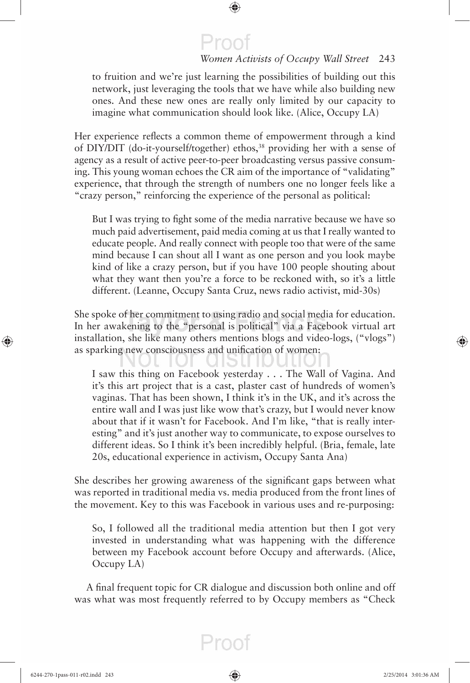⊕

## *Women Activists of Occupy Wall Street* 243

to fruition and we're just learning the possibilities of building out this network, just leveraging the tools that we have while also building new ones. And these new ones are really only limited by our capacity to imagine what communication should look like. (Alice, Occupy LA)

Her experience reflects a common theme of empowerment through a kind of DIY/DIT (do-it-yourself/together) ethos, 38 providing her with a sense of agency as a result of active peer-to-peer broadcasting versus passive consuming. This young woman echoes the CR aim of the importance of "validating" experience, that through the strength of numbers one no longer feels like a "crazy person," reinforcing the experience of the personal as political:

But I was trying to fight some of the media narrative because we have so much paid advertisement, paid media coming at us that I really wanted to educate people. And really connect with people too that were of the same mind because I can shout all I want as one person and you look maybe kind of like a crazy person, but if you have 100 people shouting about what they want then you're a force to be reckoned with, so it's a little different. (Leanne, Occupy Santa Cruz, news radio activist, mid-30s)

She spoke of her commitment to using radio and social media for education. In her awakening to the "personal is political" via a Facebook virtual art installation, she like many others mentions blogs and video-logs, ("vlogs") as sparking new consciousness and unification of women:

I saw this thing on Facebook yesterday . . . The Wall of Vagina. And it's this art project that is a cast, plaster cast of hundreds of women's vaginas. That has been shown, I think it's in the UK, and it's across the entire wall and I was just like wow that's crazy, but I would never know about that if it wasn't for Facebook. And I'm like, "that is really interesting" and it's just another way to communicate, to expose ourselves to different ideas. So I think it's been incredibly helpful. (Bria, female, late 20s, educational experience in activism, Occupy Santa Ana)

She describes her growing awareness of the significant gaps between what was reported in traditional media vs. media produced from the front lines of the movement. Key to this was Facebook in various uses and re-purposing:

So, I followed all the traditional media attention but then I got very invested in understanding what was happening with the difference between my Facebook account before Occupy and afterwards. (Alice, Occupy LA)

A final frequent topic for CR dialogue and discussion both online and off was what was most frequently referred to by Occupy members as "Check

⊕

♠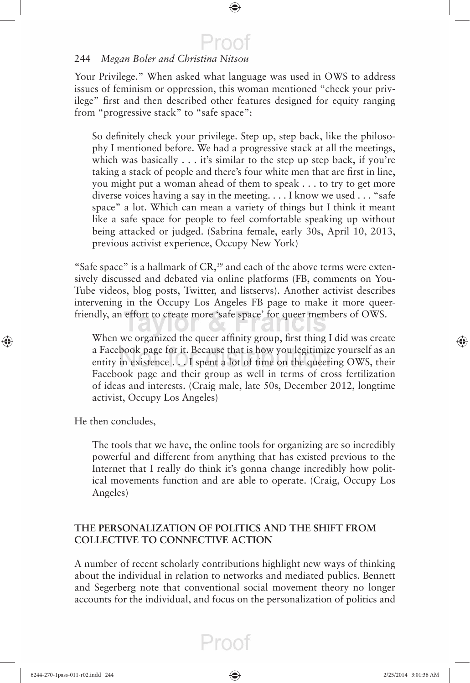⊕

## 244 *Megan Boler and Christina Nitsou*

Your Privilege." When asked what language was used in OWS to address issues of feminism or oppression, this woman mentioned "check your privilege" first and then described other features designed for equity ranging from "progressive stack" to "safe space":

So definitely check your privilege. Step up, step back, like the philosophy I mentioned before. We had a progressive stack at all the meetings, which was basically  $\ldots$  it's similar to the step up step back, if you're taking a stack of people and there's four white men that are first in line, you might put a woman ahead of them to speak . . . to try to get more diverse voices having a say in the meeting. . . . I know we used . . . "safe space" a lot. Which can mean a variety of things but I think it meant like a safe space for people to feel comfortable speaking up without being attacked or judged. (Sabrina female, early 30s, April 10, 2013, previous activist experience, Occupy New York)

"Safe space" is a hallmark of CR,<sup>39</sup> and each of the above terms were extensively discussed and debated via online platforms (FB, comments on You-Tube videos, blog posts, Twitter, and listservs). Another activist describes intervening in the Occupy Los Angeles FB page to make it more queerfriendly, an effort to create more 'safe space' for queer members of OWS.

When we organized the queer affinity group, first thing I did was create a Facebook page for it. Because that is how you legitimize yourself as an entity in existence . . . I spent a lot of time on the queering OWS, their Facebook page and their group as well in terms of cross fertilization of ideas and interests. (Craig male, late 50s, December 2012, longtime activist, Occupy Los Angeles)

He then concludes,

⊕

The tools that we have, the online tools for organizing are so incredibly powerful and different from anything that has existed previous to the Internet that I really do think it's gonna change incredibly how political movements function and are able to operate. (Craig, Occupy Los Angeles)

## **THE PERSONALIZATION OF POLITICS AND THE SHIFT FROM COLLECTIVE TO CONNECTIVE ACTION**

A number of recent scholarly contributions highlight new ways of thinking about the individual in relation to networks and mediated publics. Bennett and Segerberg note that conventional social movement theory no longer accounts for the individual, and focus on the personalization of politics and

♠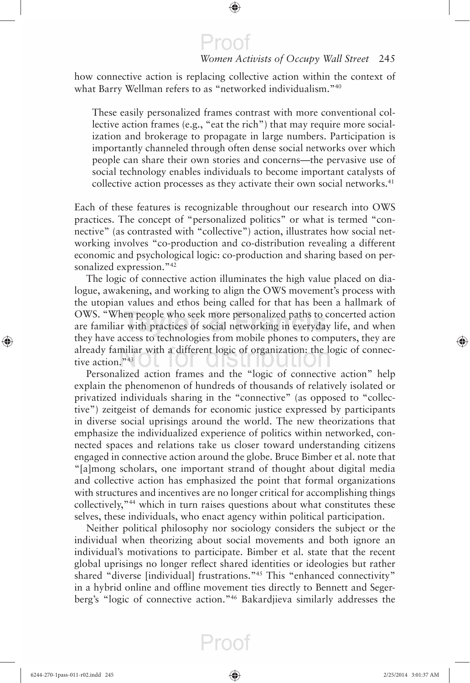⊕

### *Women Activists of Occupy Wall Street* 245

how connective action is replacing collective action within the context of what Barry Wellman refers to as "networked individualism."<sup>40</sup>

These easily personalized frames contrast with more conventional collective action frames (e.g., "eat the rich") that may require more socialization and brokerage to propagate in large numbers. Participation is importantly channeled through often dense social networks over which people can share their own stories and concerns—the pervasive use of social technology enables individuals to become important catalysts of collective action processes as they activate their own social networks. 41

Each of these features is recognizable throughout our research into OWS practices. The concept of "personalized politics" or what is termed "connective" (as contrasted with "collective") action, illustrates how social networking involves "co-production and co-distribution revealing a different economic and psychological logic: co-production and sharing based on personalized expression."<sup>42</sup>

The logic of connective action illuminates the high value placed on dialogue, awakening, and working to align the OWS movement's process with the utopian values and ethos being called for that has been a hallmark of OWS. "When people who seek more personalized paths to concerted action are familiar with practices of social networking in everyday life, and when they have access to technologies from mobile phones to computers, they are already familiar with a different logic of organization: the logic of connective action."<sup>43</sup> UL uiduinc

Personalized action frames and the "logic of connective action" help explain the phenomenon of hundreds of thousands of relatively isolated or privatized individuals sharing in the "connective" (as opposed to "collective") zeitgeist of demands for economic justice expressed by participants in diverse social uprisings around the world. The new theorizations that emphasize the individualized experience of politics within networked, connected spaces and relations take us closer toward understanding citizens engaged in connective action around the globe. Bruce Bimber et al. note that "[a]mong scholars, one important strand of thought about digital media and collective action has emphasized the point that formal organizations with structures and incentives are no longer critical for accomplishing things collectively,"<sup>44</sup> which in turn raises questions about what constitutes these selves, these individuals, who enact agency within political participation.

Neither political philosophy nor sociology considers the subject or the individual when theorizing about social movements and both ignore an individual's motivations to participate. Bimber et al. state that the recent global uprisings no longer reflect shared identities or ideologies but rather shared "diverse [individual] frustrations."<sup>45</sup> This "enhanced connectivity" in a hybrid online and offline movement ties directly to Bennett and Segerberg's "logic of connective action." 46 Bakardjieva similarly addresses the

⊕

♠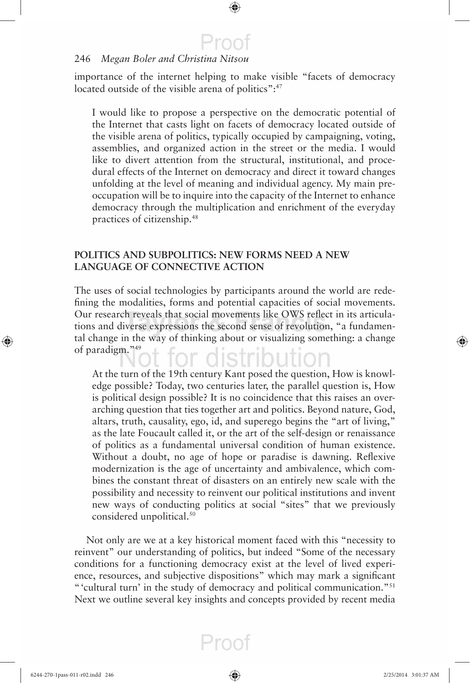## 246 *Megan Boler and Christina Nitsou*

importance of the internet helping to make visible "facets of democracy located outside of the visible arena of politics":<sup>47</sup>

I would like to propose a perspective on the democratic potential of the Internet that casts light on facets of democracy located outside of the visible arena of politics, typically occupied by campaigning, voting, assemblies, and organized action in the street or the media. I would like to divert attention from the structural, institutional, and procedural effects of the Internet on democracy and direct it toward changes unfolding at the level of meaning and individual agency. My main preoccupation will be to inquire into the capacity of the Internet to enhance democracy through the multiplication and enrichment of the everyday practices of citizenship. 48

## **POLITICS AND SUBPOLITICS: NEW FORMS NEED A NEW LANGUAGE OF CONNECTIVE ACTION**

The uses of social technologies by participants around the world are redefining the modalities, forms and potential capacities of social movements. Our research reveals that social movements like OWS reflect in its articulations and diverse expressions the second sense of revolution, "a fundamental change in the way of thinking about or visualizing something: a change of paradigm."<sup>49</sup> *ISTribution* 

At the turn of the 19th century Kant posed the question, How is knowledge possible? Today, two centuries later, the parallel question is, How is political design possible? It is no coincidence that this raises an overarching question that ties together art and politics. Beyond nature, God, altars, truth, causality, ego, id, and superego begins the "art of living," as the late Foucault called it, or the art of the self-design or renaissance of politics as a fundamental universal condition of human existence. Without a doubt, no age of hope or paradise is dawning. Reflexive modernization is the age of uncertainty and ambivalence, which combines the constant threat of disasters on an entirely new scale with the possibility and necessity to reinvent our political institutions and invent new ways of conducting politics at social "sites" that we previously considered unpolitical. 50

Not only are we at a key historical moment faced with this "necessity to reinvent" our understanding of politics, but indeed "Some of the necessary conditions for a functioning democracy exist at the level of lived experience, resources, and subjective dispositions" which may mark a significant " 'cultural turn' in the study of democracy and political communication."<sup>51</sup> Next we outline several key insights and concepts provided by recent media

♠

♠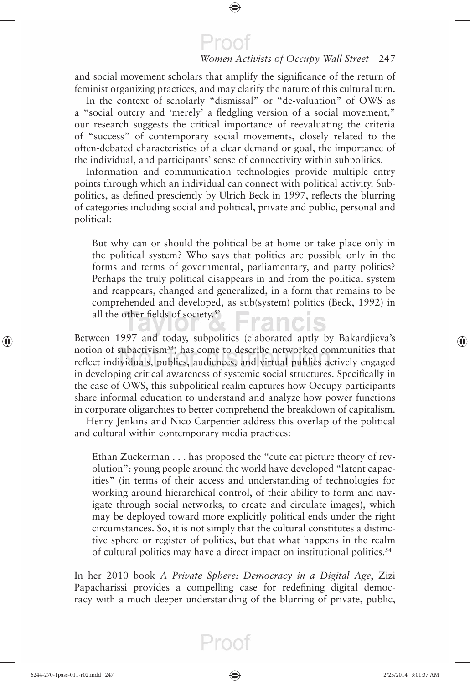## *Women Activists of Occupy Wall Street* 247

and social movement scholars that amplify the significance of the return of feminist organizing practices, and may clarify the nature of this cultural turn.

In the context of scholarly "dismissal" or "de-valuation" of OWS as a "social outcry and 'merely' a fledgling version of a social movement," our research suggests the critical importance of reevaluating the criteria of "success" of contemporary social movements, closely related to the often-debated characteristics of a clear demand or goal, the importance of the individual, and participants' sense of connectivity within subpolitics.

Information and communication technologies provide multiple entry points through which an individual can connect with political activity. Subpolitics, as defined presciently by Ulrich Beck in 1997, reflects the blurring of categories including social and political, private and public, personal and political:

But why can or should the political be at home or take place only in the political system? Who says that politics are possible only in the forms and terms of governmental, parliamentary, and party politics? Perhaps the truly political disappears in and from the political system and reappears, changed and generalized, in a form that remains to be comprehended and developed, as sub(system) politics (Beck, 1992) in all the other fields of society.<sup>52</sup>

Between 1997 and today, subpolitics (elaborated aptly by Bakardjieva's notion of subactivism<sup>53</sup>) has come to describe networked communities that reflect individuals, publics, audiences, and virtual publics actively engaged in developing critical awareness of systemic social structures. Specifically in the case of OWS, this subpolitical realm captures how Occupy participants share informal education to understand and analyze how power functions in corporate oligarchies to better comprehend the breakdown of capitalism.

Henry Jenkins and Nico Carpentier address this overlap of the political and cultural within contemporary media practices:

Ethan Zuckerman . . . has proposed the "cute cat picture theory of revolution": young people around the world have developed "latent capacities" (in terms of their access and understanding of technologies for working around hierarchical control, of their ability to form and navigate through social networks, to create and circulate images), which may be deployed toward more explicitly political ends under the right circumstances. So, it is not simply that the cultural constitutes a distinctive sphere or register of politics, but that what happens in the realm of cultural politics may have a direct impact on institutional politics. 54

In her 2010 book *A Private Sphere: Democracy in a Digital Age*, Zizi Papacharissi provides a compelling case for redefining digital democracy with a much deeper understanding of the blurring of private, public,

⊕

♠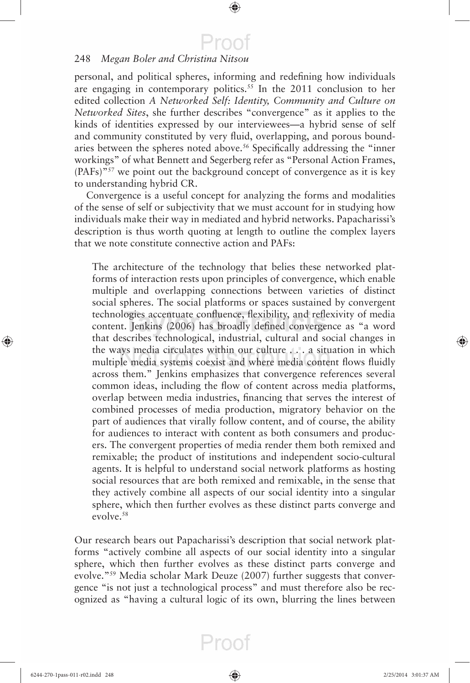⊕

## 248 *Megan Boler and Christina Nitsou*

personal, and political spheres, informing and redefining how individuals are engaging in contemporary politics.<sup>55</sup> In the 2011 conclusion to her edited collection *A Networked Self: Identity, Community and Culture on Networked Sites*, she further describes "convergence" as it applies to the kinds of identities expressed by our interviewees—a hybrid sense of self and community constituted by very fluid, overlapping, and porous boundaries between the spheres noted above.<sup>56</sup> Specifically addressing the "inner workings" of what Bennett and Segerberg refer as "Personal Action Frames,  $(PAFs)$ <sup>" 57</sup> we point out the background concept of convergence as it is key to understanding hybrid CR.

Convergence is a useful concept for analyzing the forms and modalities of the sense of self or subjectivity that we must account for in studying how individuals make their way in mediated and hybrid networks. Papacharissi's description is thus worth quoting at length to outline the complex layers that we note constitute connective action and PAFs:

The architecture of the technology that belies these networked platforms of interaction rests upon principles of convergence, which enable multiple and overlapping connections between varieties of distinct social spheres. The social platforms or spaces sustained by convergent technologies accentuate confluence, flexibility, and reflexivity of media content. Jenkins (2006) has broadly defined convergence as "a word that describes technological, industrial, cultural and social changes in the ways media circulates within our culture . . . a situation in which multiple media systems coexist and where media content flows fluidly across them." Jenkins emphasizes that convergence references several common ideas, including the flow of content across media platforms, overlap between media industries, financing that serves the interest of combined processes of media production, migratory behavior on the part of audiences that virally follow content, and of course, the ability for audiences to interact with content as both consumers and producers. The convergent properties of media render them both remixed and remixable; the product of institutions and independent socio-cultural agents. It is helpful to understand social network platforms as hosting social resources that are both remixed and remixable, in the sense that they actively combine all aspects of our social identity into a singular sphere, which then further evolves as these distinct parts converge and evolve. 58

Our research bears out Papacharissi's description that social network platforms "actively combine all aspects of our social identity into a singular sphere, which then further evolves as these distinct parts converge and evolve."<sup>59</sup> Media scholar Mark Deuze (2007) further suggests that convergence "is not just a technological process" and must therefore also be recognized as "having a cultural logic of its own, blurring the lines between

⊕

♠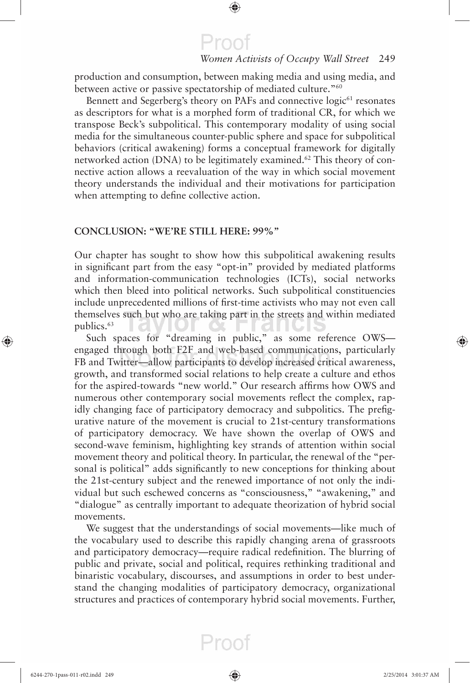## *Women Activists of Occupy Wall Street* 249

production and consumption, between making media and using media, and between active or passive spectatorship of mediated culture."<sup>60</sup>

Bennett and Segerberg's theory on PAFs and connective logic<sup>61</sup> resonates as descriptors for what is a morphed form of traditional CR, for which we transpose Beck's subpolitical. This contemporary modality of using social media for the simultaneous counter-public sphere and space for subpolitical behaviors (critical awakening) forms a conceptual framework for digitally networked action (DNA) to be legitimately examined.<sup> $62$ </sup> This theory of connective action allows a reevaluation of the way in which social movement theory understands the individual and their motivations for participation when attempting to define collective action.

## **CONCLUSION: "WE'RE STILL HERE: 99%"**

Our chapter has sought to show how this subpolitical awakening results in significant part from the easy "opt-in" provided by mediated platforms and information-communication technologies (ICTs), social networks which then bleed into political networks. Such subpolitical constituencies include unprecedented millions of first-time activists who may not even call themselves such but who are taking part in the streets and within mediated publics.<sup>63</sup>

Such spaces for "dreaming in public," as some reference OWSengaged through both F2F and web-based communications, particularly FB and Twitter—allow participants to develop increased critical awareness, growth, and transformed social relations to help create a culture and ethos for the aspired-towards "new world." Our research affirms how OWS and numerous other contemporary social movements reflect the complex, rapidly changing face of participatory democracy and subpolitics. The prefigurative nature of the movement is crucial to 21st-century transformations of participatory democracy. We have shown the overlap of OWS and second-wave feminism, highlighting key strands of attention within social movement theory and political theory. In particular, the renewal of the "personal is political" adds significantly to new conceptions for thinking about the 21st-century subject and the renewed importance of not only the individual but such eschewed concerns as "consciousness," "awakening," and "dialogue" as centrally important to adequate theorization of hybrid social movements.

We suggest that the understandings of social movements—like much of the vocabulary used to describe this rapidly changing arena of grassroots and participatory democracy—require radical redefinition. The blurring of public and private, social and political, requires rethinking traditional and binaristic vocabulary, discourses, and assumptions in order to best understand the changing modalities of participatory democracy, organizational structures and practices of contemporary hybrid social movements. Further,

⊕

♠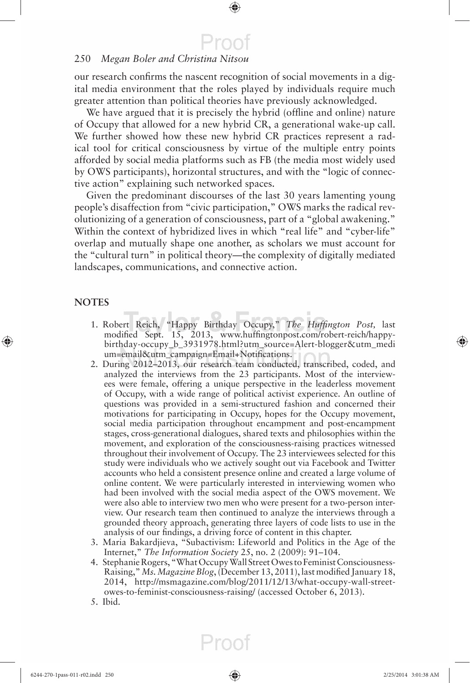## 250 *Megan Boler and Christina Nitsou*

our research confirms the nascent recognition of social movements in a digital media environment that the roles played by individuals require much greater attention than political theories have previously acknowledged.

We have argued that it is precisely the hybrid (offline and online) nature of Occupy that allowed for a new hybrid CR, a generational wake-up call. We further showed how these new hybrid CR practices represent a radical tool for critical consciousness by virtue of the multiple entry points afforded by social media platforms such as FB (the media most widely used by OWS participants), horizontal structures, and with the "logic of connective action" explaining such networked spaces.

Given the predominant discourses of the last 30 years lamenting young people's disaffection from "civic participation," OWS marks the radical revolutionizing of a generation of consciousness, part of a "global awakening." Within the context of hybridized lives in which "real life" and "cyber-life" overlap and mutually shape one another, as scholars we must account for the "cultural turn" in political theory—the complexity of digitally mediated landscapes, communications, and connective action.

### **NOTES**

⊕

- 1. Robert Reich, "Happy Birthday Occupy," *The Huffington Post*, last modified Sept. 15, 2013, www.huffingtonpost.com/robert-reich/happybirthday-occupy\_b\_3931978.html?utm\_source=Alert-blogger&utm\_medi um=email&utm\_campaign=Email+Notifications.
- 2. During 2012–2013, our research team conducted, transcribed, coded, and analyzed the interviews from the 23 participants. Most of the interviewees were female, offering a unique perspective in the leaderless movement of Occupy, with a wide range of political activist experience. An outline of questions was provided in a semi-structured fashion and concerned their motivations for participating in Occupy, hopes for the Occupy movement, social media participation throughout encampment and post-encampment stages, cross-generational dialogues, shared texts and philosophies within the movement, and exploration of the consciousness-raising practices witnessed throughout their involvement of Occupy. The 23 interviewees selected for this study were individuals who we actively sought out via Facebook and Twitter accounts who held a consistent presence online and created a large volume of online content. We were particularly interested in interviewing women who had been involved with the social media aspect of the OWS movement. We were also able to interview two men who were present for a two-person interview. Our research team then continued to analyze the interviews through a grounded theory approach, generating three layers of code lists to use in the analysis of our findings, a driving force of content in this chapter.
- 3. Maria Bakardjieva, "Subactivism: Lifeworld and Politics in the Age of the Internet," *The Information Society* 25, no. 2 (2009): 91–104.
- 4. Stephanie Rogers, "What Occupy Wall Street Owes to Feminist Consciousness-Raising," *Ms. Magazine Blog*, (December 13, 2011), last modified January 18, 2014, http://msmagazine.com/blog/2011/12/13/what-occupy-wall-streetowes-to-feminist-consciousness-raising/ (accessed October 6, 2013).
- 5. Ibid.

⊕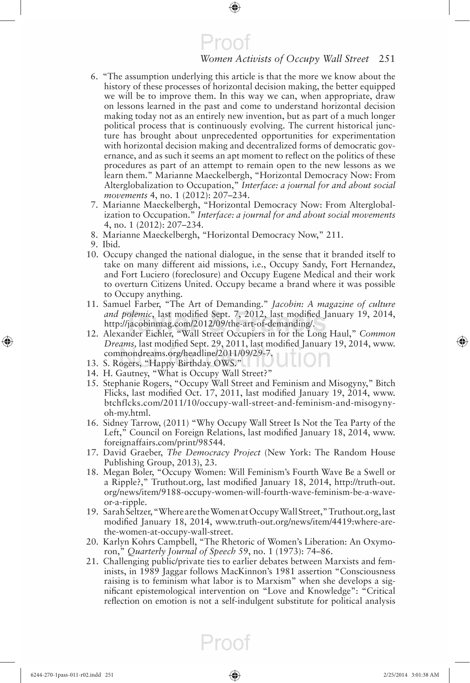## *Women Activists of Occupy Wall Street* 251

- 6. "The assumption underlying this article is that the more we know about the history of these processes of horizontal decision making, the better equipped we will be to improve them. In this way we can, when appropriate, draw on lessons learned in the past and come to understand horizontal decision making today not as an entirely new invention, but as part of a much longer political process that is continuously evolving. The current historical juncture has brought about unprecedented opportunities for experimentation with horizontal decision making and decentralized forms of democratic governance, and as such it seems an apt moment to reflect on the politics of these procedures as part of an attempt to remain open to the new lessons as we learn them." Marianne Maeckelbergh, "Horizontal Democracy Now: From Alterglobalization to Occupation," *Interface: a journal for and about social movements* 4, no. 1 (2012): 207–234.
- 7. Marianne Maeckelbergh, "Horizontal Democracy Now: From Alterglobalization to Occupation." *Interface: a journal for and about social movements* 4, no. 1 (2012): 207–234.
- 8. Marianne Maeckelbergh, "Horizontal Democracy Now," 211.
- 9. Ibid.

⊕

- 10. Occupy changed the national dialogue, in the sense that it branded itself to take on many different aid missions, i.e., Occupy Sandy, Fort Hernandez, and Fort Luciero (foreclosure) and Occupy Eugene Medical and their work to overturn Citizens United. Occupy became a brand where it was possible to Occupy anything.
- 11. Samuel Farber, "The Art of Demanding." *Jacobin: A magazine of culture and polemic*, last modified Sept. 7, 2012, last modified January 19, 2014, http://jacobinmag.com/2012/09/the-art-of-demanding/.
- 12. Alexander Eichler, "Wall Street Occupiers in for the Long Haul," *Common Dreams*, last modified Sept. 29, 2011, last modified January 19, 2014, www. commondreams.org/headline/2011/09/29-7.
- 13. S. Rogers, "Happy Birthday OWS."
- 14. H. Gautney, "What is Occupy Wall Street?"
- 15. Stephanie Rogers, "Occupy Wall Street and Feminism and Misogyny," Bitch Flicks, last modified Oct. 17, 2011, last modified January 19, 2014, www. btchflcks.com/2011/10/occupy-wall-street-and-feminism-and-misogynyoh-my.html.
- 16. Sidney Tarrow, (2011) "Why Occupy Wall Street Is Not the Tea Party of the Left," Council on Foreign Relations, last modified January 18, 2014, www. foreignaffairs.com/print/98544.
- 17. David Graeber, *The Democracy Project* (New York: The Random House Publishing Group, 2013), 23.
- 18. Megan Boler, "Occupy Women: Will Feminism's Fourth Wave Be a Swell or a Ripple?," Truthout.org, last modified January 18, 2014, http://truth-out. org/news/item/9188-occupy-women-will-fourth-wave-feminism-be-a-waveor-a-ripple.
- 19. Sarah Seltzer, "Where are the Women at Occupy Wall Street," Truthout.org, last modified January 18, 2014, www.truth-out.org/news/item/4419:where-arethe-women-at-occupy-wall-street.
- 20. Karlyn Kohrs Campbell, "The Rhetoric of Women's Liberation: An Oxymoron," *Quarterly Journal of Speech* 59, no. 1 (1973): 74–86.
- 21. Challenging public/private ties to earlier debates between Marxists and feminists, in 1989 Jaggar follows MacKinnon's 1981 assertion "Consciousness raising is to feminism what labor is to Marxism" when she develops a significant epistemological intervention on "Love and Knowledge": "Critical reflection on emotion is not a self-indulgent substitute for political analysis

♠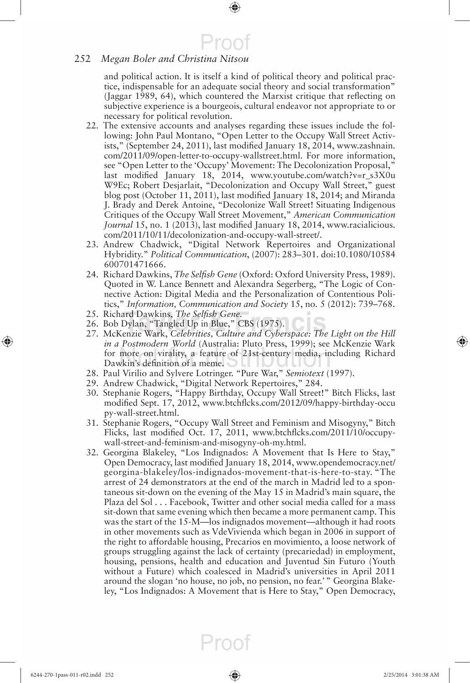## 252 *Megan Boler and Christina Nitsou*

and political action. It is itself a kind of political theory and political practice, indispensable for an adequate social theory and social transformation" (Jaggar 1989, 64), which countered the Marxist critique that reflecting on subjective experience is a bourgeois, cultural endeavor not appropriate to or necessary for political revolution.

- 22. The extensive accounts and analyses regarding these issues include the following: John Paul Montano, "Open Letter to the Occupy Wall Street Activists," (September 24, 2011), last modified January 18, 2014, www.zashnain. com/2011/09/open-letter-to-occupy-wallstreet.html. For more information, see "Open Letter to the 'Occupy' Movement: The Decolonization Proposal," last modified January 18, 2014, www.youtube.com/watch?v=r\_s3X0u W9Ec; Robert Desjarlait, "Decolonization and Occupy Wall Street," guest blog post (October 11, 2011), last modified January 18, 2014; and Miranda J. Brady and Derek Antoine, "Decolonize Wall Street! Situating Indigenous Critiques of the Occupy Wall Street Movement," *American Communication Journal* 15, no. 1 (2013), last modified January 18, 2014, www.racialicious. com/2011/10/11/decolonization-and-occupy-wall-street/.
- 23. Andrew Chadwick, "Digital Network Repertoires and Organizational Hyb ridity." *Political Communication*, (2007): 283–301. doi:10.1080/10584 600701471666.
- 24. Richard Dawkins, *The Selfish Gene* (Oxford: Oxford University Press, 1989). Quoted in W. Lance Bennett and Alexandra Segerberg, "The Logic of Connective Action: Digital Media and the Personalization of Contentious Politics," *Information, Communication and Society* 15, no. 5 (2012): 739–768.
- 25. Richard Dawkins, *The Selfish Gene.*
- 26. Bob Dylan, "Tangled Up in Blue," CBS (1975).
- 27. McKenzie Wark, *Celebrities, Culture and Cyberspace: The Light on the Hill in a Postmodern World* (Australia: Pluto Press, 1999); see McKenzie Wark for more on virality, a feature of 21st-century media, including Richard Dawkin's definition of a meme.
- 28. Paul Virilio and Sylvere Lotringer. "Pure War," *Semiotext* (1997).
- 29. Andrew Chadwick, "Digital Network Repertoires," 284.
- 30. Stephanie Rogers, "Happy Birthday, Occupy Wall Street!" Bitch Flicks, last modified Sept. 17, 2012, www.btchflcks.com/2012/09/happy-birthday-occu py-wall-street.html.
- 31. Stephanie Rogers, "Occupy Wall Street and Feminism and Misogyny," Bitch Flicks, last modified Oct. 17, 2011, www.btchflcks.com/2011/10/occupywall-street-and-feminism-and-misogyny-oh-my.html.
- 32. Georgina Blakeley, "Los Indignados: A Movement that Is Here to Stay," Open Democracy, last modified January 18, 2014, www.opendemocracy.net/ georgina-blakeley/los-indignados-movement-that-is-here-to-stay. "The arrest of 24 demonstrators at the end of the march in Madrid led to a spontaneous sit-down on the evening of the May 15 in Madrid's main square, the Plaza del Sol . . . Facebook, Twitter and other social media called for a mass sit-down that same evening which then became a more permanent camp. This was the start of the 15-M—los indignados movement—although it had roots in other movements such as VdeVivienda which began in 2006 in support of the right to affordable housing, Precarios en movimiento, a loose network of groups struggling against the lack of certainty (precariedad) in employment, housing, pensions, health and education and Juventud Sin Futuro (Youth without a Future) which coalesced in Madrid's universities in April 2011 around the slogan 'no house, no job, no pension, no fear.' " Georgina Blakeley, "Los Indignados: A Movement that is Here to Stay," Open Democracy,

◈

⊕

LLLOO.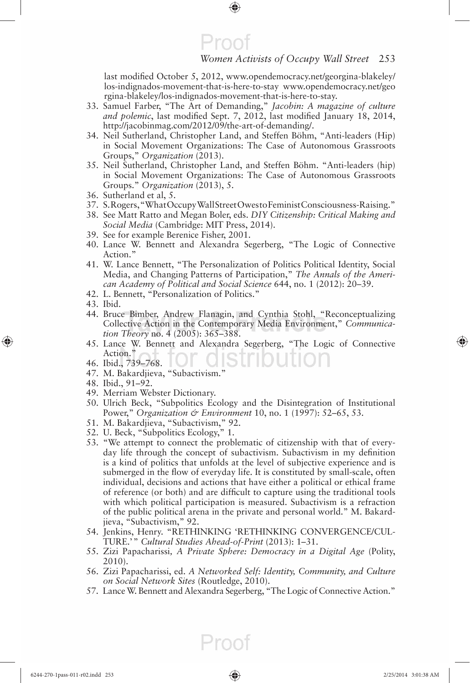#### *Women Activists of Occupy Wall Street* 253

last modified October 5, 2012, www.opendemocracy.net/georgina-blakeley/ los-indignados-movement-that-is-here-to-stay www.opendemocracy.net/geo rgina-blakeley/los-indignados-movement-that-is-here-to-stay.

- 33. Samuel Farber, "The Art of Demanding," *Jacobin: A magazine of culture*  and polemic, last modified Sept. 7, 2012, last modified January 18, 2014, http://jacobinmag.com/2012/09/the-art-of-demanding/.
- 34. Neil Sutherland, Christopher Land, and Steffen Böhm, "Anti-leaders (Hip) in Social Movement Organizations: The Case of Autonomous Grassroots Groups," *Organization* (2013).
- 35. Neil Sutherland, Christopher Land, and Steffen Böhm. "Anti-leaders (hip) in Social Movement Organizations: The Case of Autonomous Grassroots Groups." *Organization* (2013), 5.
- 36. Sutherland et al, 5.
- 37. S. Rogers, "What Occupy Wall Street Owes to Feminist Consciousness-Raising."
- 38. See Matt Ratto and Megan Boler, eds. *DIY Citizenship: Critical Making and Social Media* (Cambridge: MIT Press, 2014).
- 39. See for example Berenice Fisher, 2001.
- 40. Lance W. Bennett and Alexandra Segerberg, "The Logic of Connective Action."
- 41. W. Lance Bennett, "The Personalization of Politics Political Identity, Social Media, and Changing Patterns of Participation," *The Annals of the American Academy of Political and Social Science* 644, no. 1 (2012): 20–39.
- 42. L. Bennett, "Personalization of Politics."
- 43. Ibid.

⊕

- 44. Bruce Bimber, Andrew Flanagin, and Cynthia Stohl, "Reconceptualizing Collective Action in the Contemporary Media Environment," *Communication Theory* no. 4 (2005): 365–388.
- 45. Lance W. Bennett and Alexandra Segerberg, "The Logic of Connective Action."
- 46. Ibid., 739–768.
- 47. M. Bakardjieva, "Subactivism."
- 48. Ibid., 91–92.
- 49. Merriam Webster Dictionary.
- 50. Ulrich Beck, "Subpolitics Ecology and the Disintegration of Institutional Power," *Organization & Environment* 10, no. 1 (1997): 52–65, 53.
- 51. M. Bakardjieva, "Subactivism," 92.
- 52. U. Beck, "Subpolitics Ecology," 1.
- 53. "We attempt to connect the problematic of citizenship with that of everyday life through the concept of subactivism. Subactivism in my definition is a kind of politics that unfolds at the level of subjective experience and is submerged in the flow of everyday life. It is constituted by small-scale, often individual, decisions and actions that have either a political or ethical frame of reference (or both) and are difficult to capture using the traditional tools with which political participation is measured. Subactivism is a refraction of the public political arena in the private and personal world." M. Bakardjieva, "Subactivism," 92.
- 54. Jenkins, Henry. "RETHINKING 'RETHINKING CONVERGENCE/CUL-TURE.' " *Cultural Studies Ahead-of-Print* (2013): 1–31.
- 55. Zizi Papacharissi *, A Private Sphere: Democracy in a Digital Age* (Polity, 2010).
- 56. Zizi Papacharissi, ed. *A Networked Self: Identity, Community, and Culture on Social Network Sites* (Routledge, 2010).
- 57. Lance W. Bennett and Alexandra Segerberg, "The Logic of Connective Action."

♠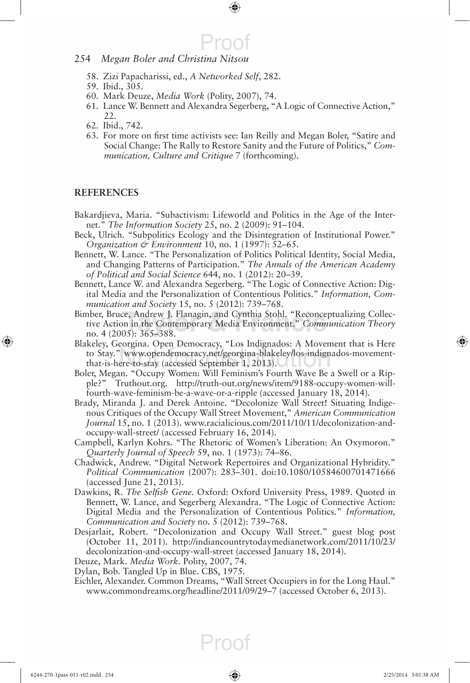### 254 *Megan Boler and Christina Nitsou*

- 58. Zizi Papacharissi, ed., *A Networked Self*, 282.
- 59. Ibid., 305.
- 60. Mark Deuze, *Media Work* (Polity, 2007), 74.
- 61. Lance W. Bennett and Alexandra Segerberg, "A Logic of Connective Action," 22.

⊕

- 62. Ibid., 742.
- 63. For more on first time activists see: Ian Reilly and Megan Boler, "Satire and Social Change: The Rally to Restore Sanity and the Future of Politics," *Communication, Culture and Critique* 7 (forthcoming).

#### **REFERENCES**

⊕

- Bakardjieva, Maria. "Subactivism: Lifeworld and Politics in the Age of the Internet." *The Information Society* 25, no. 2 (2009): 91–104.
- Beck, Ulrich. "Subpolitics Ecology and the Disintegration of Institutional Power." *Organization & Environment* 10, no. 1 (1997): 52–65.
- Bennett, W. Lance. "The Personalization of Politics Political Identity, Social Media, and Changing Patterns of Participation." *The Annals of the American Academy of Political and Social Science* 644, no. 1 (2012): 20–39.
- Bennett, Lance W. and Alexandra Segerberg. "The Logic of Connective Action: Digital Media and the Personalization of Contentious Politics." *Information, Communication and Society* 15, no. 5 (2012): 739–768.
- Bimber, Bruce, Andrew J. Flanagin, and Cynthia Stohl. "Reconceptualizing Collective Action in the Contemporary Media Environment." *Communication Theory* no. 4 (2005): 365–388.
- Blakeley, Georgina. Open Democracy, "Los Indignados: A Movement that is Here to Stay." www.opendemocracy.net/georgina-blakeley/los-indignados-movementthat-is-here-to-stay (accessed September 1, 2013).
- Boler, Megan. "Occupy Women: Will Feminism's Fourth Wave Be a Swell or a Ripple?" Truthout.org. http://truth-out.org/news/item/9188-occupy-women-willfourth-wave-feminism-be-a-wave-or-a-ripple (accessed January 18, 2014).
- Brady, Miranda J. and Derek Antoine. "Decolonize Wall Street! Situating Indigenous Critiques of the Occupy Wall Street Movement," *American Communication Journal* 15, no. 1 (2013). www.racialicious.com/2011/10/11/decolonization-andoccupy-wall-street/ (accessed February 16, 2014).
- Campbell, Karlyn Kohrs. "The Rhetoric of Women's Liberation: An Oxymoron." *Quarterly Journal of Speech* 59, no. 1 (1973): 74–86.
- Chadwick, Andrew. "Digital Network Repertoires and Organizational Hybridity." *Political Communication* (2007): 283–301. doi:10.1080/10584600701471666 (accessed June 21, 2013).
- Dawkins, R. *The Selfish Gene*. Oxford: Oxford University Press, 1989. Quoted in Bennett, W. Lance, and Segerberg Alexandra. "The Logic of Connective Action: Digital Media and the Personalization of Contentious Politics." *Information, Communication and Society* no. 5 (2012): 739–768.
- Desjarlait, Robert. "Decolonization and Occupy Wall Street." guest blog post (October 11, 2011). http://indiancountrytodaymedianetwork.com/2011/10/23/ decolonization-and-occupy-wall-street (accessed January 18, 2014).

Deuze, Mark. *Media Work.* Polity, 2007, 74.

Dylan, Bob. Tangled Up in Blue. CBS, 1975.

Eichler, Alexander. Common Dreams, "Wall Street Occupiers in for the Long Haul." www.commondreams.org/headline/2011/09/29–7 (accessed October 6, 2013).

↔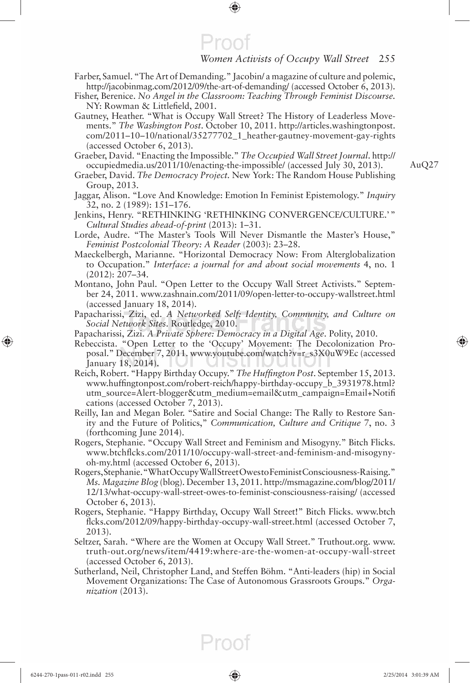### *Women Activists of Occupy Wall Street* 255

Farber, Samuel. "The Art of Demanding." Jacobin/ a magazine of culture and polemic, http://jacobinmag.com/2012/09/the-art-of-demanding/ (accessed October 6, 2013).

⊕

- Fisher, Berenice. *No Angel in the Classroom: Teaching Through Feminist Discourse.* NY: Rowman & Littlefield, 2001.
- Gautney, Heather. "What is Occupy Wall Street? The History of Leaderless Movements." *The Washington Post*. October 10, 2011. http://articles.washingtonpost. com/2011–10–10/national/35277702\_1\_heather-gautney-movement-gay-rights (accessed October 6, 2013).
- Graeber, David. "Enacting the Impossible." *The Occupied Wall Street Journal*. http:// occupiedmedia.us/2011/10/enacting-the-impossible/ (accessed July 30, 2013).
- Graeber, David. *The Democracy Project.* New York: The Random House Publishing Group, 2013.
- Jaggar, Alison. "Love And Knowledge: Emotion In Feminist Epistemology." *Inquiry* 32, no. 2 (1989): 151–176.
- Jenkins, Henry. "RETHINKING 'RETHINKING CONVERGENCE/CULTURE.' " *Cultural Studies ahead-of-print* (2013): 1–31.
- Lorde, Audre. "The Master's Tools Will Never Dismantle the Master's House," *Feminist Postcolonial Theory: A Reader* (2003): 23–28.
- Maeckelbergh, Marianne. "Horizontal Democracy Now: From Alterglobalization to Occupation." *Interface: a journal for and about social movements* 4, no. 1 (2012): 207–34.
- Montano, John Paul. "Open Letter to the Occupy Wall Street Activists." September 24, 2011. www.zashnain.com/2011/09/open-letter-to-occupy-wallstreet.html (accessed January 18, 2014).
- Papacharissi, Zizi, ed. *A Networked Self: Identity, Community, and Culture on Social Network Sites*. Routledge, 2010.
- Papacharissi, Zizi. *A Private Sphere: Democracy in a Digital Age*. Polity, 2010.
- Rebeccista. "Open Letter to the 'Occupy' Movement: The Decolonization Proposal." December 7, 2011. www.youtube.com/watch?v=r\_s3X0uW9Ec (accessed January 18, 2014).
- Reich, Robert. "Happy Birthday Occupy." *The Huffington Post*. September 15, 2013. www.huffingtonpost.com/robert-reich/happy-birthday-occupy\_b\_3931978.html? utm\_source=Alert-blogger&utm\_medium=email&utm\_campaign=Email+Notifi cations (accessed October 7, 2013).
- Reilly, Ian and Megan Boler. "Satire and Social Change: The Rally to Restore Sanity and the Future of Politics," *Communication*, *Culture and Critique* 7, no. 3 (forthcoming June 2014).
- Rogers, Stephanie. "Occupy Wall Street and Feminism and Misogyny." Bitch Flicks. www.btchflcks.com/2011/10/occupy-wall-street-and-feminism-and-misogynyoh-my.html (accessed October 6, 2013).
- Rogers, Stephanie. "What Occupy Wall Street Owes to Feminist Consciousness-Raising." *Ms. Magazine Blog* (blog). December 13, 2011. http://msmagazine.com/blog/2011/ 12/13/what-occupy-wall-street-owes-to-feminist-consciousness-raising/ (accessed October 6, 2013).
- Rogers, Stephanie. "Happy Birthday, Occupy Wall Street!" Bitch Flicks. www.btch flcks.com/2012/09/happy-birthday-occupy-wall-street.html (accessed October 7, 2013).
- Seltzer, Sarah. "Where are the Women at Occupy Wall Street." Truthout.org. www. truth-out.org/news/item/4419:where-are-the-women-at-occupy-wall-street (accessed October 6, 2013).
- Sutherland, Neil, Christopher Land, and Steffen Böhm. "Anti-leaders (hip) in Social Movement Organizations: The Case of Autonomous Grassroots Groups." *Organization* (2013).

AuQ27

↔

⊕